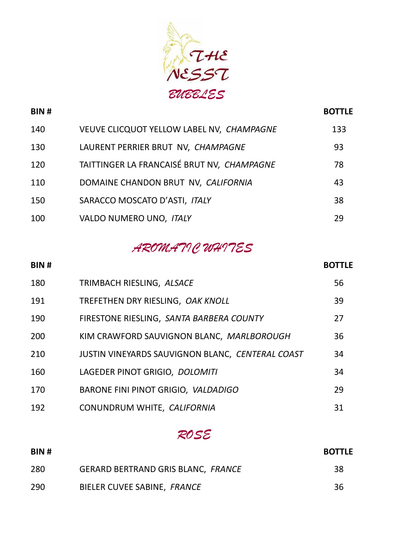

| <b>BIN#</b> |                                            | <b>BOTTLE</b> |
|-------------|--------------------------------------------|---------------|
| 140         | VEUVE CLICQUOT YELLOW LABEL NV, CHAMPAGNE  | 133           |
| 130         | LAURENT PERRIER BRUT NV, CHAMPAGNE         | 93            |
| 120         | TAITTINGER LA FRANCAISÉ BRUT NV, CHAMPAGNE | 78            |
| 110         | DOMAINE CHANDON BRUT NV, CALIFORNIA        | 43            |
| 150         | SARACCO MOSCATO D'ASTI, ITALY              | 38            |
| 100         | VALDO NUMERO UNO, ITALY                    | 29            |

#### *AROMATIC WHITES*

# **BIN # BOTTLE** TRIMBACH RIESLING, *ALSACE* 56 TREFETHEN DRY RIESLING, *OAK KNOLL* 39 FIRESTONE RIESLING, *SANTA BARBERA COUNTY* 27 KIM CRAWFORD SAUVIGNON BLANC, *MARLBOROUGH* 36 JUSTIN VINEYARDS SAUVIGNON BLANC, *CENTERAL COAST* 34 LAGEDER PINOT GRIGIO, *DOLOMITI* 34 BARONE FINI PINOT GRIGIO, *VALDADIGO* 29 CONUNDRUM WHITE, *CALIFORNIA* 31

### *ROSE*

| BIN# |                                           | <b>BOTTLE</b> |
|------|-------------------------------------------|---------------|
| -280 | <b>GERARD BERTRAND GRIS BLANC, FRANCE</b> | 38            |
| 290  | BIELER CUVEE SABINE, FRANCE               | 36            |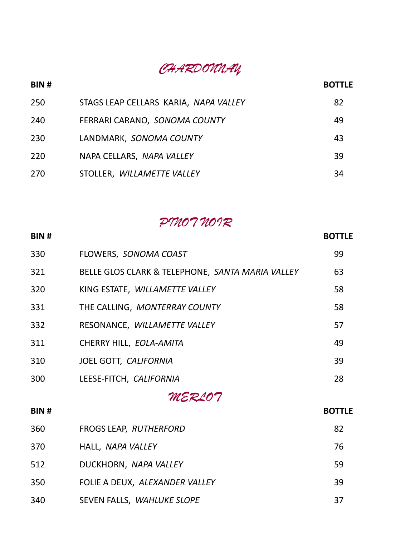#### *CHARDONNAY*

# **BIN # BOTTLE** STAGS LEAP CELLARS KARIA, *NAPA VALLEY* 82 FERRARI CARANO, *SONOMA COUNTY* 49 LANDMARK, *SONOMA COUNTY* 43 NAPA CELLARS, *NAPA VALLEY* 39

#### *PINOT NOIR*

STOLLER, *WILLAMETTE VALLEY* 34

| <b>BIN#</b> |                                                  | <b>BOTTLE</b> |
|-------------|--------------------------------------------------|---------------|
| 330         | FLOWERS, SONOMA COAST                            | 99            |
| 321         | BELLE GLOS CLARK & TELEPHONE, SANTA MARIA VALLEY | 63            |
| 320         | KING ESTATE, WILLAMETTE VALLEY                   | 58            |
| 331         | THE CALLING, MONTERRAY COUNTY                    | 58            |
| 332         | RESONANCE, WILLAMETTE VALLEY                     | 57            |
| 311         | CHERRY HILL, EOLA-AMITA                          | 49            |
| 310         | JOEL GOTT, CALIFORNIA                            | 39            |
| 300         | LEESE-FITCH, CALIFORNIA                          | 28            |
|             | MERLOT                                           |               |
| <b>BIN#</b> |                                                  | <b>BOTTLE</b> |
| 360         | FROGS LEAP, RUTHERFORD                           | 82            |
| 370         | HALL, NAPA VALLEY                                | 76            |
| 512         | DUCKHORN, NAPA VALLEY                            | 59            |
| 350         | FOLIE A DEUX, ALEXANDER VALLEY                   | 39            |
| 340         | SEVEN FALLS, WAHLUKE SLOPE                       | 37            |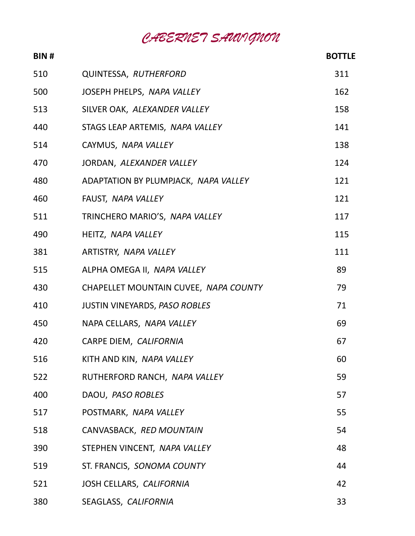*CABERNET SAUVIGNON*

| <b>BIN#</b> |                                       | <b>BOTTLE</b> |
|-------------|---------------------------------------|---------------|
| 510         | QUINTESSA, RUTHERFORD                 | 311           |
| 500         | JOSEPH PHELPS, NAPA VALLEY            | 162           |
| 513         | SILVER OAK, ALEXANDER VALLEY          | 158           |
| 440         | STAGS LEAP ARTEMIS, NAPA VALLEY       | 141           |
| 514         | CAYMUS, NAPA VALLEY                   | 138           |
| 470         | JORDAN, ALEXANDER VALLEY              | 124           |
| 480         | ADAPTATION BY PLUMPJACK, NAPA VALLEY  | 121           |
| 460         | FAUST, NAPA VALLEY                    | 121           |
| 511         | TRINCHERO MARIO'S, NAPA VALLEY        | 117           |
| 490         | HEITZ, NAPA VALLEY                    | 115           |
| 381         | ARTISTRY, NAPA VALLEY                 | 111           |
| 515         | ALPHA OMEGA II, NAPA VALLEY           | 89            |
| 430         | CHAPELLET MOUNTAIN CUVEE, NAPA COUNTY | 79            |
| 410         | <b>JUSTIN VINEYARDS, PASO ROBLES</b>  | 71            |
| 450         | NAPA CELLARS, NAPA VALLEY             | 69            |
| 420         | CARPE DIEM, CALIFORNIA                | 67            |
| 516         | KITH AND KIN, NAPA VALLEY             | 60            |
| 522         | RUTHERFORD RANCH, NAPA VALLEY         | 59            |
| 400         | DAOU, PASO ROBLES                     | 57            |
| 517         | POSTMARK, NAPA VALLEY                 | 55            |
| 518         | CANVASBACK, RED MOUNTAIN              | 54            |
| 390         | STEPHEN VINCENT, NAPA VALLEY          | 48            |
| 519         | ST. FRANCIS, SONOMA COUNTY            | 44            |
| 521         | JOSH CELLARS, CALIFORNIA              | 42            |
| 380         | SEAGLASS, CALIFORNIA                  | 33            |